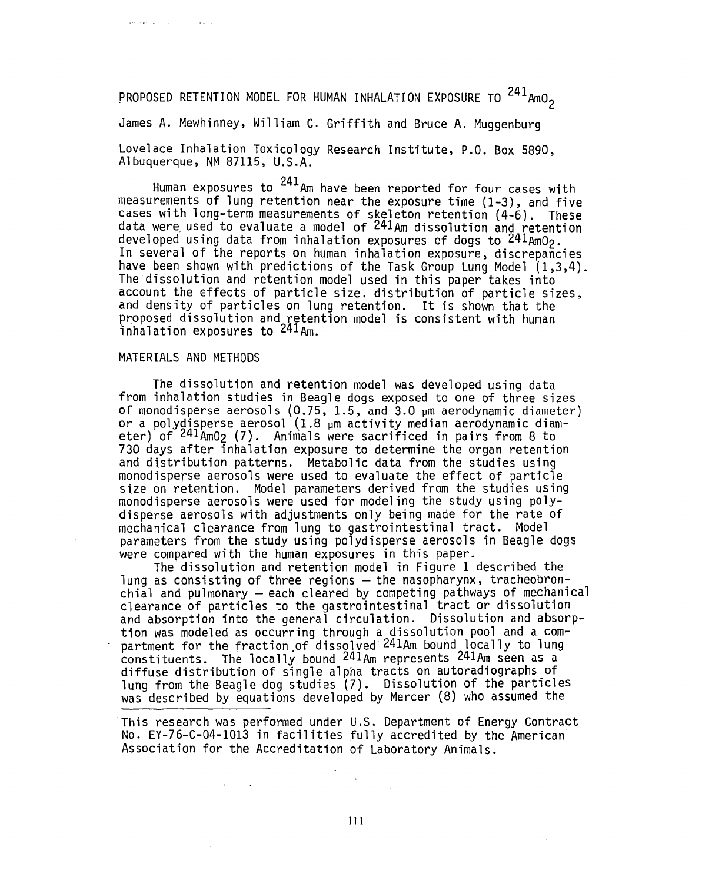# PROPOSED RETENTION MODEL FOR HUMAN INHALATION EXPOSURE TO <sup>241</sup>AmO<sub>2</sub>

James A. Mewhinney, William C. Griffith and Bruce A. Muggenburg

Lovelace Inhalation Toxicology Research Institute, P.O. Box 5890, Albuquerque, NM 87115, U.S.A.

Human exposures to  $^{241}$ Am have been reported for four cases with measurements of lung retention near the exposure time (1-3), and five cases with long-term measurements of skeleton retention (4-6). These data were used to evaluate a model of  $241$ Am dissolution and retention developed using data from inhalation exposures of dogs to  $241_{\text{A}}$ mO<sub>2</sub>. In several of the reports on human inhalation exposure, discrepancies have been shown with predictions of the Task Group Lung Model (1,3,4). The dissolution and retention model used in this paper takes into account the effects of particle size, distribution of particle sizes, and density of particles on lung retention. It is shown that the proposed dissolution and retention model is consistent with human inhalation exposures to  $241_{\text{Am}}$ .

## MATERIALS AND METHODS

The dissolution and retention model was developed using data from inhalation studies in Beagle dogs exposed to one of three sizes of monodisperse aerosols  $(0.75, 1.5,$  and  $3.0$   $\mu$ m aerodynamic diameter) or a polydisperse aerosol (1.8 pm activity median aerodynamic diameter) of  $241$ AmO<sub>2</sub> (7). Animals were sacrificed in pairs from 8 to 730 days after inhalation exposure to determine the organ retention and distribution patterns. Metabolic data from the studies using monodisperse aerosols were used to evaluate the effect of particle size on retention. Model parameters derived from the studies using monodisperse aerosols were used for modeling the study using polydisperse aerosols with adjustments only being made for the rate of mechanical clearance from lung to gastrointestinal tract. Model parameters from the study using polydisperse aerosols in Beagle dogs were compared with the human exposures in this paper.

The dissolution and retention model in Figure 1 described the lung as consisting of three regions — the nasopharynx, tracheobronchial and pulmonary — each cleared by competing pathways of mechanical clearance of particles to the gastrointestinal tract or dissolution and absorption into the general circulation. Dissolution and absorption was modeled as occurring through a dissolution pool and a compartment for the fraction of dissolved <sup>241</sup>Am bound locally to lung constituents. The locally bound 24lAm represents 24lAm seen as a diffuse distribution of single alpha tracts on autoradiographs of lung from the Beagle dog studies (7). Dissolution of the particles was described by equations developed by Mercer (8) who assumed the

This research was performed under U.S. Department of Energy Contract No. EY-76-C-04-1013 in facilities fully accredited by the American Association for the Accreditation of Laboratory Animals.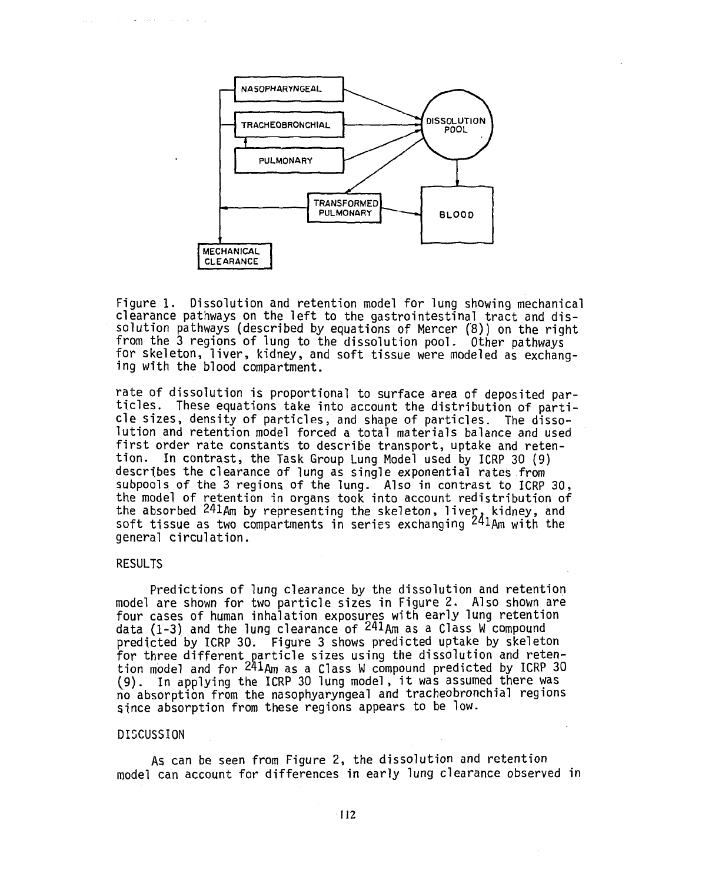

Figure 1. Dissolution and retention model for lung showing mechanical clearance pathways on the left to the gastrointestinal tract and dissolution pathways (described by equations of Mercer (8)) on the right from the 3 regions of lung to the dissolution pool. Other pathways for skeleton, liver, kidney, and soft tissue were modeled as exchanging with the blood compartment.

rate of dissolution is proportional to surface area of deposited particles. These equations take into account the distribution of particle sizes, density of particles, and shape of particles. The dissolution and retention model forced a total materials balance and used first order rate constants to describe transport, uptake and retention. In contrast, the Task Group Lung Model used by ICRP 30 (9) describes the clearance of lung as single exponential rates from subpools of the 3 regions of the lung. Also in contrast to ICRP 30, the model of retention in organs took into account redistribution of the absorbed  $241$ Am by representing the skeleton, liver, kidney, and soft tissue as two compartments in series exchanging  $^{241}$ Am with the general circulation.

### RESULTS

Predictions of lung clearance by the dissolution and retention model are shown for two particle sizes in Figure 2. Also shown are four cases of human inhalation exposures with early lung retention data (1-3) and the lung clearance of <sup>241</sup>Am as a Class W compound predicted by ICRP 30. Figure 3 shows predicted uptake by skeleton for three different particle sizes using the dissolution and retention model and for <sup>241</sup>Am as a Class W compound predicted by ICRP 30 (9). In applying the ICRP 30 lung model, it was assumed there was no absorption from the nasophyaryngeal and tracheobronchial regions since absorption from these regions appears to be low.

#### DISCUSSION

As can be seen from Figure 2, the dissolution and retention model can account for differences in early lung clearance observed in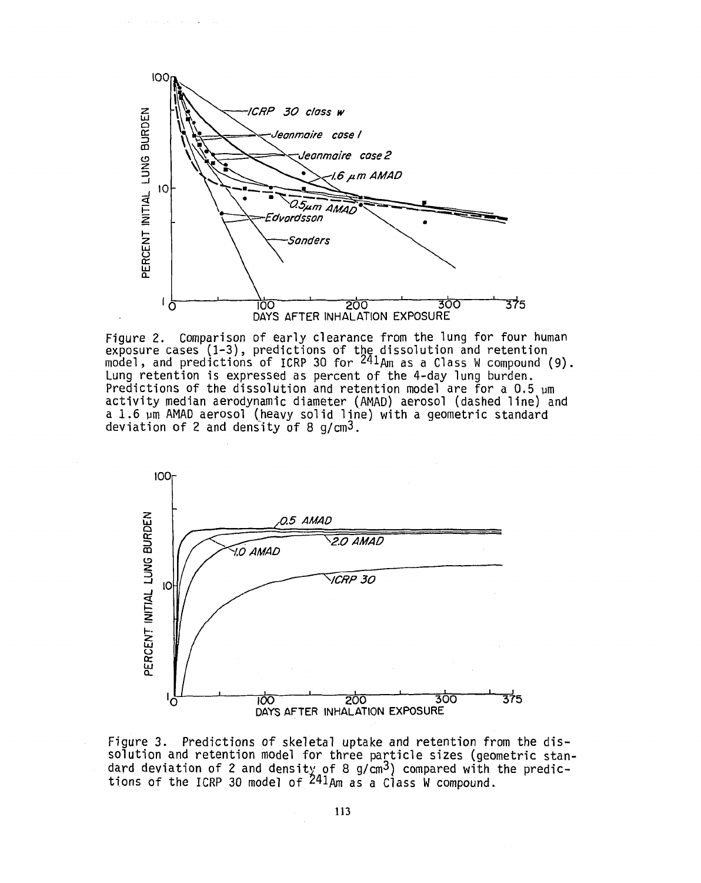

Figure 2. Comparison of early clearance from the lung for four human exposure cases (1-3), predictions of the dissolution and retention model, and predictions of ICRP 30 for  $^{241}$ Am as a Class W compound (9). Lung retention is expressed as percent of the 4-day lung burden. Predictions of the dissolution and retention model are for a 0.5 pm activity median aerodynamic diameter (AMAD) aerosol (dashed line) and a 1.6 um AMAD aerosol (heavy solid line) with a geometric standard deviation of 2 and density of 8 g/cm3.